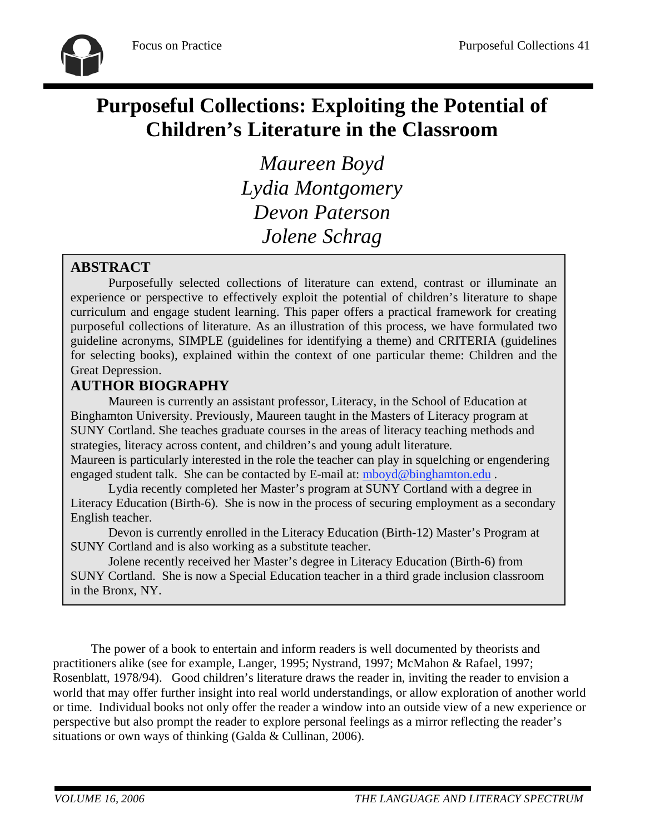

# **Purposeful Collections: Exploiting the Potential of Children's Literature in the Classroom**

*Maureen Boyd Lydia Montgomery Devon Paterson Jolene Schrag* 

# **ABSTRACT**

Purposefully selected collections of literature can extend, contrast or illuminate an experience or perspective to effectively exploit the potential of children's literature to shape curriculum and engage student learning. This paper offers a practical framework for creating purposeful collections of literature. As an illustration of this process, we have formulated two guideline acronyms, SIMPLE (guidelines for identifying a theme) and CRITERIA (guidelines for selecting books), explained within the context of one particular theme: Children and the Great Depression.

# **AUTHOR BIOGRAPHY**

Maureen is currently an assistant professor, Literacy, in the School of Education at Binghamton University. Previously, Maureen taught in the Masters of Literacy program at SUNY Cortland. She teaches graduate courses in the areas of literacy teaching methods and strategies, literacy across content, and children's and young adult literature.

Maureen is particularly interested in the role the teacher can play in squelching or engendering engaged student talk. She can be contacted by E-mail at: mboyd@binghamton.edu.

 Lydia recently completed her Master's program at SUNY Cortland with a degree in Literacy Education (Birth-6). She is now in the process of securing employment as a secondary English teacher.

 Devon is currently enrolled in the Literacy Education (Birth-12) Master's Program at SUNY Cortland and is also working as a substitute teacher.

Jolene recently received her Master's degree in Literacy Education (Birth-6) from SUNY Cortland. She is now a Special Education teacher in a third grade inclusion classroom in the Bronx, NY.

The power of a book to entertain and inform readers is well documented by theorists and practitioners alike (see for example, Langer, 1995; Nystrand, 1997; McMahon & Rafael, 1997; Rosenblatt, 1978/94). Good children's literature draws the reader in, inviting the reader to envision a world that may offer further insight into real world understandings, or allow exploration of another world or time. Individual books not only offer the reader a window into an outside view of a new experience or perspective but also prompt the reader to explore personal feelings as a mirror reflecting the reader's situations or own ways of thinking (Galda & Cullinan, 2006).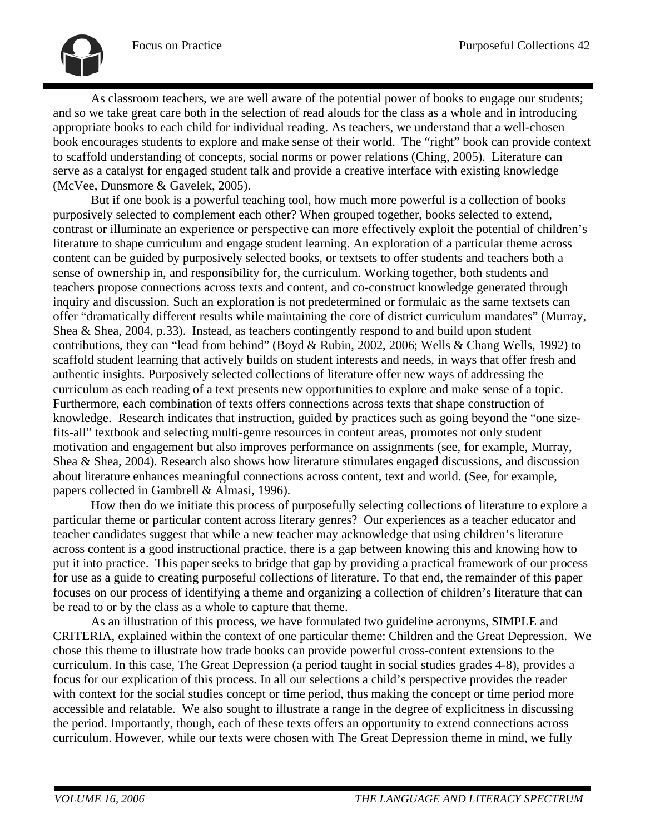

 As classroom teachers, we are well aware of the potential power of books to engage our students; and so we take great care both in the selection of read alouds for the class as a whole and in introducing appropriate books to each child for individual reading. As teachers, we understand that a well-chosen book encourages students to explore and make sense of their world. The "right" book can provide context to scaffold understanding of concepts, social norms or power relations (Ching, 2005). Literature can serve as a catalyst for engaged student talk and provide a creative interface with existing knowledge (McVee, Dunsmore & Gavelek, 2005).

 But if one book is a powerful teaching tool, how much more powerful is a collection of books purposively selected to complement each other? When grouped together, books selected to extend, contrast or illuminate an experience or perspective can more effectively exploit the potential of children's literature to shape curriculum and engage student learning. An exploration of a particular theme across content can be guided by purposively selected books, or textsets to offer students and teachers both a sense of ownership in, and responsibility for, the curriculum. Working together, both students and teachers propose connections across texts and content, and co-construct knowledge generated through inquiry and discussion. Such an exploration is not predetermined or formulaic as the same textsets can offer "dramatically different results while maintaining the core of district curriculum mandates" (Murray, Shea & Shea, 2004, p.33). Instead, as teachers contingently respond to and build upon student contributions, they can "lead from behind" (Boyd & Rubin, 2002, 2006; Wells & Chang Wells, 1992) to scaffold student learning that actively builds on student interests and needs, in ways that offer fresh and authentic insights. Purposively selected collections of literature offer new ways of addressing the curriculum as each reading of a text presents new opportunities to explore and make sense of a topic. Furthermore, each combination of texts offers connections across texts that shape construction of knowledge. Research indicates that instruction, guided by practices such as going beyond the "one sizefits-all" textbook and selecting multi-genre resources in content areas, promotes not only student motivation and engagement but also improves performance on assignments (see, for example, Murray, Shea & Shea, 2004). Research also shows how literature stimulates engaged discussions, and discussion about literature enhances meaningful connections across content, text and world. (See, for example, papers collected in Gambrell & Almasi, 1996).

 How then do we initiate this process of purposefully selecting collections of literature to explore a particular theme or particular content across literary genres? Our experiences as a teacher educator and teacher candidates suggest that while a new teacher may acknowledge that using children's literature across content is a good instructional practice, there is a gap between knowing this and knowing how to put it into practice. This paper seeks to bridge that gap by providing a practical framework of our process for use as a guide to creating purposeful collections of literature. To that end, the remainder of this paper focuses on our process of identifying a theme and organizing a collection of children's literature that can be read to or by the class as a whole to capture that theme.

 As an illustration of this process, we have formulated two guideline acronyms, SIMPLE and CRITERIA, explained within the context of one particular theme: Children and the Great Depression. We chose this theme to illustrate how trade books can provide powerful cross-content extensions to the curriculum. In this case, The Great Depression (a period taught in social studies grades 4-8), provides a focus for our explication of this process. In all our selections a child's perspective provides the reader with context for the social studies concept or time period, thus making the concept or time period more accessible and relatable. We also sought to illustrate a range in the degree of explicitness in discussing the period. Importantly, though, each of these texts offers an opportunity to extend connections across curriculum. However, while our texts were chosen with The Great Depression theme in mind, we fully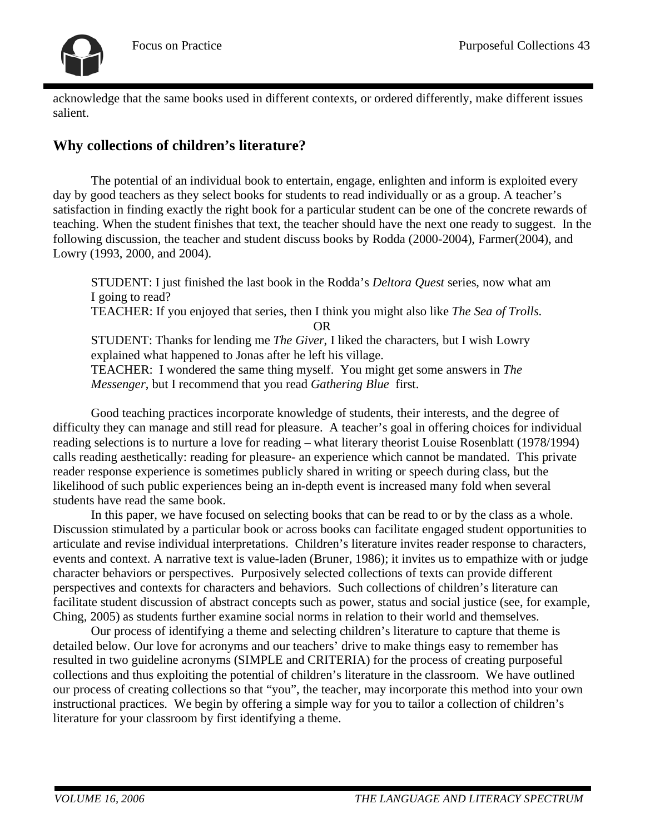j

acknowledge that the same books used in different contexts, or ordered differently, make different issues salient.

### **Why collections of children's literature?**

 The potential of an individual book to entertain, engage, enlighten and inform is exploited every day by good teachers as they select books for students to read individually or as a group. A teacher's satisfaction in finding exactly the right book for a particular student can be one of the concrete rewards of teaching. When the student finishes that text, the teacher should have the next one ready to suggest. In the following discussion, the teacher and student discuss books by Rodda (2000-2004), Farmer(2004), and Lowry (1993, 2000, and 2004).

STUDENT: I just finished the last book in the Rodda's *Deltora Quest* series, now what am I going to read? TEACHER: If you enjoyed that series, then I think you might also like *The Sea of Trolls*. OR STUDENT: Thanks for lending me *The Giver*, I liked the characters, but I wish Lowry explained what happened to Jonas after he left his village. TEACHER: I wondered the same thing myself. You might get some answers in *The Messenger*, but I recommend that you read *Gathering Blue* first.

Good teaching practices incorporate knowledge of students, their interests, and the degree of difficulty they can manage and still read for pleasure. A teacher's goal in offering choices for individual reading selections is to nurture a love for reading – what literary theorist Louise Rosenblatt (1978/1994) calls reading aesthetically: reading for pleasure- an experience which cannot be mandated. This private reader response experience is sometimes publicly shared in writing or speech during class, but the likelihood of such public experiences being an in-depth event is increased many fold when several students have read the same book.

 In this paper, we have focused on selecting books that can be read to or by the class as a whole. Discussion stimulated by a particular book or across books can facilitate engaged student opportunities to articulate and revise individual interpretations. Children's literature invites reader response to characters, events and context. A narrative text is value-laden (Bruner, 1986); it invites us to empathize with or judge character behaviors or perspectives. Purposively selected collections of texts can provide different perspectives and contexts for characters and behaviors. Such collections of children's literature can facilitate student discussion of abstract concepts such as power, status and social justice (see, for example, Ching, 2005) as students further examine social norms in relation to their world and themselves.

 Our process of identifying a theme and selecting children's literature to capture that theme is detailed below. Our love for acronyms and our teachers' drive to make things easy to remember has resulted in two guideline acronyms (SIMPLE and CRITERIA) for the process of creating purposeful collections and thus exploiting the potential of children's literature in the classroom. We have outlined our process of creating collections so that "you", the teacher, may incorporate this method into your own instructional practices. We begin by offering a simple way for you to tailor a collection of children's literature for your classroom by first identifying a theme.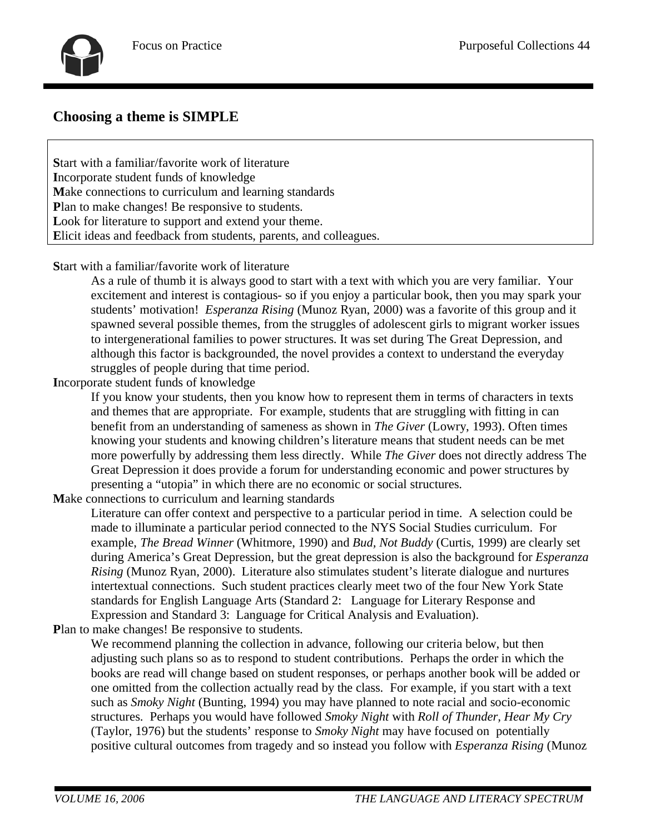

# **Choosing a theme is SIMPLE**

**S**tart with a familiar/favorite work of literature **I**ncorporate student funds of knowledge **M**ake connections to curriculum and learning standards **P**lan to make changes! Be responsive to students. Look for literature to support and extend your theme. **E**licit ideas and feedback from students, parents, and colleagues.

#### **S**tart with a familiar/favorite work of literature

As a rule of thumb it is always good to start with a text with which you are very familiar. Your excitement and interest is contagious- so if you enjoy a particular book, then you may spark your students' motivation! *Esperanza Rising* (Munoz Ryan, 2000) was a favorite of this group and it spawned several possible themes, from the struggles of adolescent girls to migrant worker issues to intergenerational families to power structures. It was set during The Great Depression, and although this factor is backgrounded, the novel provides a context to understand the everyday struggles of people during that time period.

**I**ncorporate student funds of knowledge

If you know your students, then you know how to represent them in terms of characters in texts and themes that are appropriate. For example, students that are struggling with fitting in can benefit from an understanding of sameness as shown in *The Giver* (Lowry, 1993). Often times knowing your students and knowing children's literature means that student needs can be met more powerfully by addressing them less directly. While *The Giver* does not directly address The Great Depression it does provide a forum for understanding economic and power structures by presenting a "utopia" in which there are no economic or social structures.

#### **M**ake connections to curriculum and learning standards

Literature can offer context and perspective to a particular period in time. A selection could be made to illuminate a particular period connected to the NYS Social Studies curriculum. For example, *The Bread Winner* (Whitmore, 1990) and *Bud, Not Buddy* (Curtis, 1999) are clearly set during America's Great Depression, but the great depression is also the background for *Esperanza Rising* (Munoz Ryan, 2000). Literature also stimulates student's literate dialogue and nurtures intertextual connections. Such student practices clearly meet two of the four New York State standards for English Language Arts (Standard 2: Language for Literary Response and Expression and Standard 3: Language for Critical Analysis and Evaluation).

**P**lan to make changes! Be responsive to students.

We recommend planning the collection in advance, following our criteria below, but then adjusting such plans so as to respond to student contributions. Perhaps the order in which the books are read will change based on student responses, or perhaps another book will be added or one omitted from the collection actually read by the class. For example, if you start with a text such as *Smoky Night* (Bunting, 1994) you may have planned to note racial and socio-economic structures. Perhaps you would have followed *Smoky Night* with *Roll of Thunder, Hear My Cry* (Taylor, 1976) but the students' response to *Smoky Night* may have focused on potentially positive cultural outcomes from tragedy and so instead you follow with *Esperanza Rising* (Munoz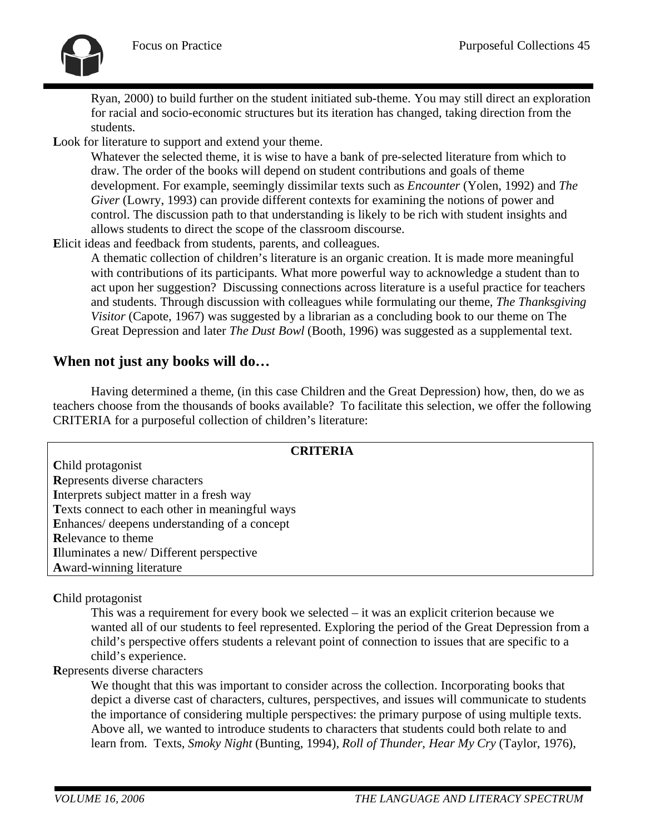

Ryan, 2000) to build further on the student initiated sub-theme. You may still direct an exploration for racial and socio-economic structures but its iteration has changed, taking direction from the students.

Look for literature to support and extend your theme.

Whatever the selected theme, it is wise to have a bank of pre-selected literature from which to draw. The order of the books will depend on student contributions and goals of theme development. For example, seemingly dissimilar texts such as *Encounter* (Yolen, 1992) and *The Giver* (Lowry, 1993) can provide different contexts for examining the notions of power and control. The discussion path to that understanding is likely to be rich with student insights and allows students to direct the scope of the classroom discourse.

**E**licit ideas and feedback from students, parents, and colleagues.

A thematic collection of children's literature is an organic creation. It is made more meaningful with contributions of its participants. What more powerful way to acknowledge a student than to act upon her suggestion? Discussing connections across literature is a useful practice for teachers and students. Through discussion with colleagues while formulating our theme*, The Thanksgiving Visitor* (Capote, 1967) was suggested by a librarian as a concluding book to our theme on The Great Depression and later *The Dust Bowl* (Booth, 1996) was suggested as a supplemental text.

### **When not just any books will do…**

 Having determined a theme, (in this case Children and the Great Depression) how, then, do we as teachers choose from the thousands of books available? To facilitate this selection, we offer the following CRITERIA for a purposeful collection of children's literature:

| <b>CRITERIA</b>                                |
|------------------------------------------------|
| Child protagonist                              |
| Represents diverse characters                  |
| Interprets subject matter in a fresh way       |
| Texts connect to each other in meaningful ways |
| Enhances/ deepens understanding of a concept   |
| <b>Relevance to theme</b>                      |
| Illuminates a new/Different perspective        |
| <b>Award-winning literature</b>                |

**C**hild protagonist

This was a requirement for every book we selected – it was an explicit criterion because we wanted all of our students to feel represented. Exploring the period of the Great Depression from a child's perspective offers students a relevant point of connection to issues that are specific to a child's experience.

**R**epresents diverse characters

We thought that this was important to consider across the collection. Incorporating books that depict a diverse cast of characters, cultures, perspectives, and issues will communicate to students the importance of considering multiple perspectives: the primary purpose of using multiple texts. Above all, we wanted to introduce students to characters that students could both relate to and learn from. Texts, *Smoky Night* (Bunting, 1994), *Roll of Thunder, Hear My Cry* (Taylor, 1976),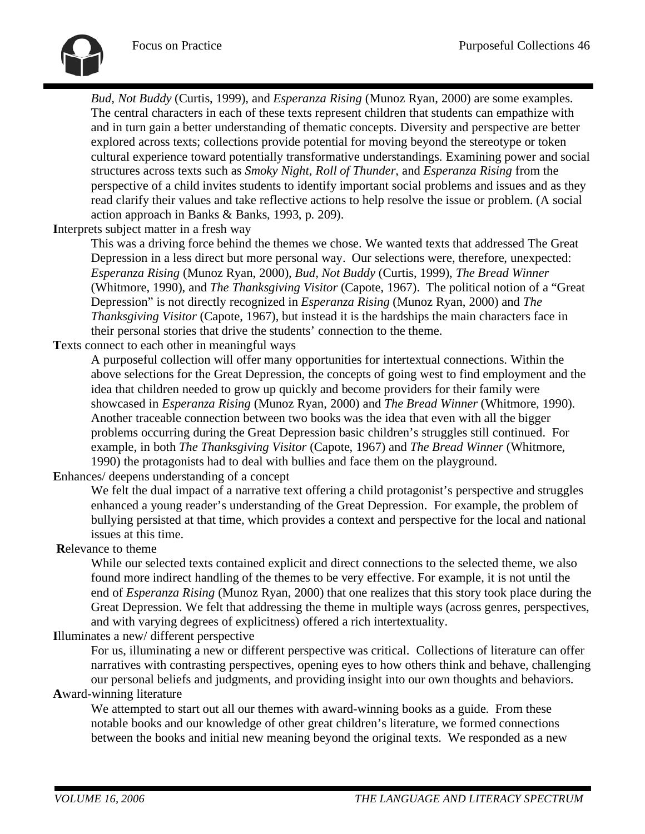

*Bud, Not Buddy* (Curtis, 1999), and *Esperanza Rising* (Munoz Ryan, 2000) are some examples. The central characters in each of these texts represent children that students can empathize with and in turn gain a better understanding of thematic concepts. Diversity and perspective are better explored across texts; collections provide potential for moving beyond the stereotype or token cultural experience toward potentially transformative understandings. Examining power and social structures across texts such as *Smoky Night*, *Roll of Thunder*, and *Esperanza Rising* from the perspective of a child invites students to identify important social problems and issues and as they read clarify their values and take reflective actions to help resolve the issue or problem. (A social action approach in Banks & Banks, 1993, p. 209).

**I**nterprets subject matter in a fresh way

This was a driving force behind the themes we chose. We wanted texts that addressed The Great Depression in a less direct but more personal way. Our selections were, therefore, unexpected: *Esperanza Rising* (Munoz Ryan, 2000), *Bud, Not Buddy* (Curtis, 1999), *The Bread Winner* (Whitmore, 1990), and *The Thanksgiving Visitor* (Capote, 1967). The political notion of a "Great Depression" is not directly recognized in *Esperanza Rising* (Munoz Ryan, 2000) and *The Thanksgiving Visitor* (Capote, 1967), but instead it is the hardships the main characters face in their personal stories that drive the students' connection to the theme.

**T**exts connect to each other in meaningful ways

A purposeful collection will offer many opportunities for intertextual connections. Within the above selections for the Great Depression, the concepts of going west to find employment and the idea that children needed to grow up quickly and become providers for their family were showcased in *Esperanza Rising* (Munoz Ryan, 2000) and *The Bread Winner* (Whitmore, 1990). Another traceable connection between two books was the idea that even with all the bigger problems occurring during the Great Depression basic children's struggles still continued. For example, in both *The Thanksgiving Visitor* (Capote, 1967) and *The Bread Winner* (Whitmore, 1990) the protagonists had to deal with bullies and face them on the playground.

**E**nhances/ deepens understanding of a concept

We felt the dual impact of a narrative text offering a child protagonist's perspective and struggles enhanced a young reader's understanding of the Great Depression. For example, the problem of bullying persisted at that time, which provides a context and perspective for the local and national issues at this time.

**R**elevance to theme

While our selected texts contained explicit and direct connections to the selected theme, we also found more indirect handling of the themes to be very effective. For example, it is not until the end of *Esperanza Rising* (Munoz Ryan, 2000) that one realizes that this story took place during the Great Depression. We felt that addressing the theme in multiple ways (across genres, perspectives, and with varying degrees of explicitness) offered a rich intertextuality.

**I**lluminates a new/ different perspective

For us, illuminating a new or different perspective was critical. Collections of literature can offer narratives with contrasting perspectives, opening eyes to how others think and behave, challenging our personal beliefs and judgments, and providing insight into our own thoughts and behaviors.

**A**ward-winning literature

We attempted to start out all our themes with award-winning books as a guide. From these notable books and our knowledge of other great children's literature, we formed connections between the books and initial new meaning beyond the original texts. We responded as a new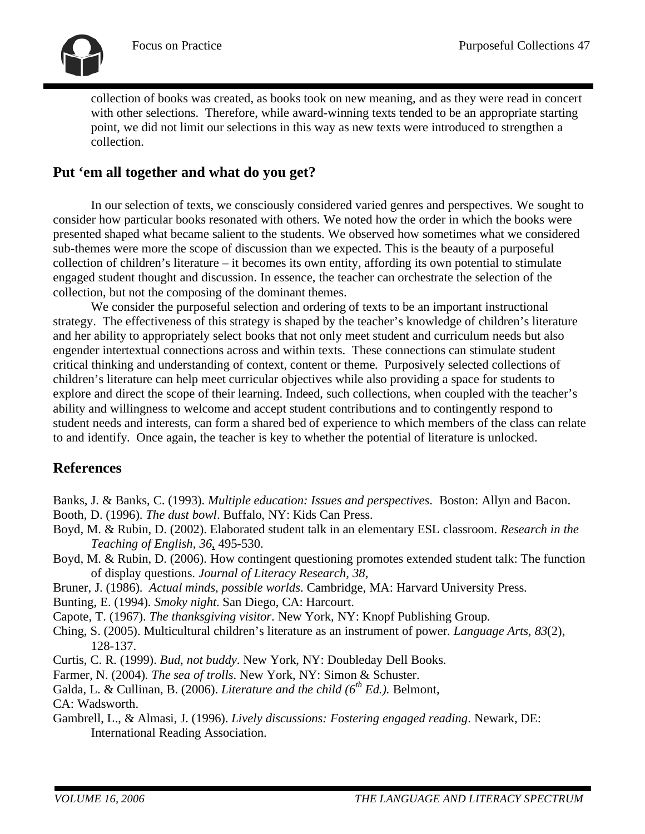

collection of books was created, as books took on new meaning, and as they were read in concert with other selections. Therefore, while award-winning texts tended to be an appropriate starting point, we did not limit our selections in this way as new texts were introduced to strengthen a collection.

### **Put 'em all together and what do you get?**

 In our selection of texts, we consciously considered varied genres and perspectives. We sought to consider how particular books resonated with others. We noted how the order in which the books were presented shaped what became salient to the students. We observed how sometimes what we considered sub-themes were more the scope of discussion than we expected. This is the beauty of a purposeful collection of children's literature – it becomes its own entity, affording its own potential to stimulate engaged student thought and discussion. In essence, the teacher can orchestrate the selection of the collection, but not the composing of the dominant themes.

 We consider the purposeful selection and ordering of texts to be an important instructional strategy. The effectiveness of this strategy is shaped by the teacher's knowledge of children's literature and her ability to appropriately select books that not only meet student and curriculum needs but also engender intertextual connections across and within texts. These connections can stimulate student critical thinking and understanding of context, content or theme. Purposively selected collections of children's literature can help meet curricular objectives while also providing a space for students to explore and direct the scope of their learning. Indeed, such collections, when coupled with the teacher's ability and willingness to welcome and accept student contributions and to contingently respond to student needs and interests, can form a shared bed of experience to which members of the class can relate to and identify. Once again, the teacher is key to whether the potential of literature is unlocked.

### **References**

- Banks, J. & Banks, C. (1993). *Multiple education: Issues and perspectives*. Boston: Allyn and Bacon.
- Booth, D. (1996). *The dust bowl*. Buffalo, NY: Kids Can Press.
- Boyd, M. & Rubin, D. (2002). Elaborated student talk in an elementary ESL classroom. *Research in the Teaching of English, 36*, 495-530.
- Boyd, M. & Rubin, D. (2006). How contingent questioning promotes extended student talk: The function of display questions. *Journal of Literacy Research, 38*,
- Bruner, J. (1986). *Actual minds, possible worlds*. Cambridge, MA: Harvard University Press.
- Bunting, E. (1994). *Smoky night*. San Diego, CA: Harcourt.
- Capote, T. (1967). *The thanksgiving visitor*. New York, NY: Knopf Publishing Group.
- Ching, S. (2005). Multicultural children's literature as an instrument of power. *Language Arts, 83*(2), 128-137.
- Curtis, C. R. (1999). *Bud, not buddy*. New York, NY: Doubleday Dell Books.
- Farmer, N. (2004). *The sea of trolls*. New York, NY: Simon & Schuster.
- Galda, L. & Cullinan, B. (2006). *Literature and the child (6th Ed.).* Belmont,

CA: Wadsworth.

Gambrell, L., & Almasi, J. (1996). *Lively discussions: Fostering engaged reading*. Newark, DE: International Reading Association.